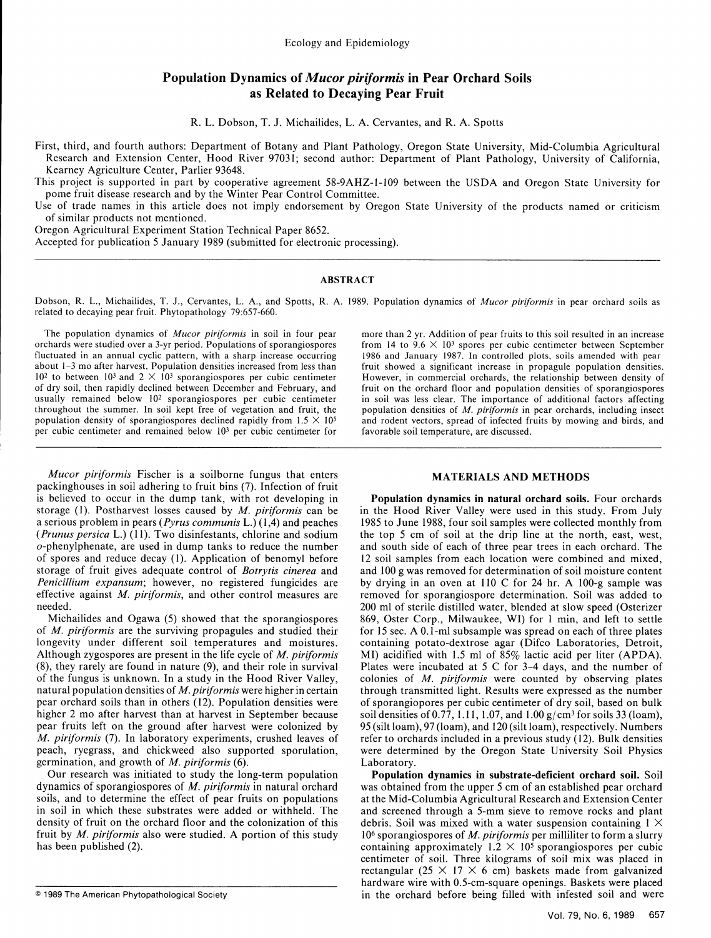# Population Dynamics of *Mucor piriformis* in Pear Orchard Soils as Related to Decaying Pear Fruit

R. L. Dobson, T. J. Michailides, L. A. Cervantes, and R. A. Spotts

First, third, and fourth authors: Department of Botany and Plant Pathology, Oregon State University, Mid-Columbia Agricultural Research and Extension Center, Hood River 97031; second author: Department of Plant Pathology, University of California, Kearney Agriculture Center, Parlier 93648.

This project is supported in part by cooperative agreement 58-9AHZ-l-109 between the USDA and Oregon State University for pome fruit disease research and by the Winter Pear Control Committee.

Use of trade names in this article does not imply endorsement by Oregon State University of the products named or criticism of similar products not mentioned.

Oregon Agricultural Experiment Station Technical Paper 8652.

Accepted for publication 5 January 1989 (submitted for electronic processing).

## ABSTRACT

Dobson, R. L., Michailides, T. **J.,** Cervantes, L. **A.,** and Spotts, R. **A.** 1989. Population dynamics of *Mucor piriformis* in pear orchard soils as related to decaying pear fruit. Phytopathology 79:657-660.

The population dynamics of *Mucor piriformis* in soil in four pear more than 2 yr. Addition of pear fruits to this soil resulted in an increase orchards were studied over a 3-yr period. Populations of sporangiospores from  $14$  to  $9.6 \times 10<sup>3</sup>$  spores per cubic centimeter between September fluctuated in an annual cyclic pattern, with a sharp increase occurring 1986 and January 1987. In controlled plots, soils amended with pear about 1-3 mo after harvest. Population densities increased from less than fruit sh  $10^2$  to between  $10^3$  and  $2 \times 10^3$  sporangiospores per cubic centimeter However, in commercial orchards, the relationship between density of of dry soil, then rapidly declined between December and February, and fruit usually remained below 10<sup>2</sup> sporangiospores per cubic centimeter in soil was less clear. The importance of additional factors affecting<br>throughout the summer. In soil kept free of vegetation and fruit, the population dens throughout the summer. In soil kept free of vegetation and fruit, the population density of *sporangiospores* declined rapidly from  $1.5 \times 10^5$ per cubic centimeter and remained below **103** per cubic centimeter for favorable soil temperature, are discussed.

*Mucor piriformis* Fischer is a soilborne fungus that enters **MATERIALS AND METHODS** packinghouses in soil adhering to fruit bins (7). Infection of fruit is believed to occur in the dump tank, with rot developing in Population dynamics in natural orchard soils. Four orchards storage (1). Postharvest losses caused by  $M$ . piriformis can be in the Hood River Valley were used

of *M. piriformis* are the surviving propagules and studied their for 15 sec. A **0.1** -ml subsample was spread on each of three plates longevity under different soil temperatures and moistures. containing potato-dextrose agar (Difco Laboratories, Detroit, Although zygospores are present in the life cycle of *M. piriformis* MI) acidified with 1.5 ml of 85 (8), they rarely are found in nature (9), and their role in survival Plates were incubated at 5 C for 3-4 days, and the number of of the fungus is unknown. In a study in the Hood River Valley, colonies of *M. piriformis* were counted by observing plates natural population densities of *M. piriformis* were higher in certain through transmitted light. Results were expressed as the number pear orchard solid than in others (12). Population densities were of sporangionalisation of dry soil, based on bulk<br>near orchard soils than in others (12). Population densities were of sporangionage as suit based on bulke pear orchard solls than in others (12). Population densities were on sporangiopores per cubic centimeter of dry soil, based on bulk<br>higher 2 mo after harvest than at harvest in Sentember because on soil densities of 0.77, higher 2 mo after harvest than at harvest in September because soil densities of 0.77, 1.11, 1.07, and 1.00 g/cm<sup>3</sup> for soils 33 (loam), pear fruits left on the ground after harvest were colonized by 95 (silt loam), 97 (l *M. piriformis* (7). In laboratory experiments, crushed leaves of refer to orchards included in a previous study (12). Bulk densities peach, ryegrass, and chickweed also supported sporulation, were determined by the Oregon State University Soil Physics germination, and growth of *M. piriformis* (6). Laboratory.

and rodent vectors, spread of infected fruits by mowing and birds, and

in the Hood River Valley were used in this study. From July a serious problem in pears *(Pyrus communis* L.) (1,4) and peaches 1985 to June 1988, four soil samples were collected monthly from *(Prunus persica* L.) (11). Two disinfestants, chlorine and sodium the top 5 cm of soil at the drip line at the north, east, west, o-phenylphenate, are used in dump tanks to reduce the number and south side of each of three pear trees in each orchard. The of spores and reduce decay (1). Application of benomyl before 12 soil samples from each location were combined and mixed, storage of fruit gives adequate control of *Botrytis cinerea* and and 100 g was removed for determination of soil moisture content *Penicillium expansum;* however, no registered fungicides are by drying in an oven at 110 C for 24 hr. A 100-g sample was effective against *M. piriformis,* and other control measures are removed for sporangiospore determination. Soil was added to needed. 200 ml of sterile distilled water, blended at slow speed (Osterizer Michailides and Ogawa (5) showed that the sporangiospores 869, Oster Corp., Milwaukee, WI) for 1 min, and left to settle

Our research was initiated to study the long-term population **Population dynamics in substrate-deficient orchard soil. Soil** dynamics of sporangiospores of *M. piriformis* in natural orchard was obtained from the upper 5 cm of an established pear orchard soils, and to determine the effect of pear fruits on populations at the Mid-Columbia Agricultural Research and Extension Center in soil in which these substrates were added or withheld. The and screened through a 5-mm sieve to remove rocks and plant density of fruit on the orchard floor and the colonization of this debris. Soil was mixed with a water suspension containing  $1 \times$ fruit by *M. piriformis* also were studied. A portion of this study 106 sporangiospores of *M. piriformis* per milliliter to form a slurry has been published (2). containing approximately  $1.2 \times 10^5$  sporangiospores per cubic centimeter of soil. Three kilograms of soil mix was placed in rectangular (25  $\times$  17  $\times$  6 cm) baskets made from galvanized hardware wire with 0.5-cm-square openings. Baskets were placed © 1989 The American Phytopathological Society in the orchard before being filled with infested soil and were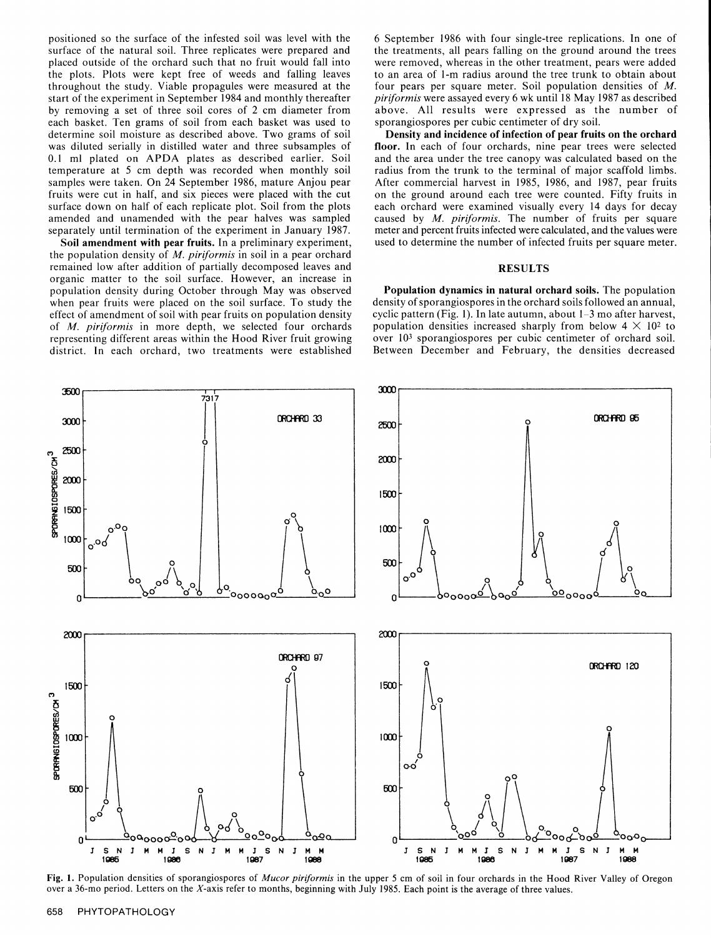surface of the natural soil. Three replicates were prepared and the treatments, all pears falling on the ground around the trees placed outside of the orchard such that no fruit would fall into were removed, whereas in the other treatment, pears were added the plots. Plots were kept free of weeds and falling leaves to an area of 1-m radius around the tree trunk to obtain about throughout the study. Viable propagules were measured at the four pears per square meter. Soil pop throughout the study. Viable propagules were measured at the four pears per square meter. Soil population densities of *M*. Start of the experiment in September 1984 and monthly thereafter *piriformis* were assayed every 6 start of the experiment in September 1984 and monthly thereafter *piriformis* were assayed every 6 wk until 18 May 1987 as described by removing a set of three soil cores of 2 cm diameter from above. All results were expressed as the number of dry soil. each basket. Ten grams of soil from each basket was used to sporangiospores per cubic centimeter of dry soil.<br>determine soil moisture as described above. Two grams of soil **Density and incidence of infection of pear fruits** determine soil moisture as described above. Two grams of soil **Density and incidence of infection of pear fruits on the orchard** was diluted serially in distilled water and three subsamples of **floor**. In each of four orch was diluted serially in distilled water and three subsamples of 0.1 ml plated on APDA plates as described earlier. Soil and the area under the tree canopy was calculated based on the temperature at 5 cm depth was recorded when monthly soil radius from the trunk to the terminal of major temperature at 5 cm depth was recorded when monthly soil samples were taken. On 24 September 1986, mature Anjou pear fruits were cut in half, and six pieces were placed with the cut on the ground around each tree were counted. Fifty fruits in surface down on half of each replicate plot. Soil from the plots each orchard were examined visu surface down on half of each replicate plot. Soil from the plots amended and unamended with the pear halves was sampled caused by *M. piriformis.* The number of fruits per square separately until termination of the experiment in January 1987. meter and percent fruits infected were calculated, and the values were

the population density of *M. piriformis* in soil in a pear orchard remained low after addition of partially decomposed leaves and **RESULTS** organic matter to the soil surface. However, an increase in population density during October through May was observed **Population dynamics in natural orchard soils.** The population when pear fruits were placed on the soil surface. To study the density of sporangiospores in the orc when pear fruits were placed on the soil surface. To study the effect of amendment of soil with pear fruits on population density cyclic pattern (Fig. 1). In late autumn, about 1-3 mo after harvest, of *M. piriformis* in more depth, we selected four orchards population densities increased sharply from below  $4 \times 10^2$  to representing different areas within the Hood River fruit growing over **103** sporangiospores per cubic centimeter of orchard soil. district. In each orchard, two treatments were established

positioned so the surface of the infested soil was level with the 6 September 1986 with four single-tree replications. In one of

After commercial harvest in 1985, 1986, and 1987, pear fruits on the ground around each tree were counted. Fifty fruits in Soil amendment with pear fruits. In a preliminary experiment, used to determine the number of infected fruits per square meter.



**OVERTAGE IN THE STATE OF SPECIFIED STATES OF MULLY PHYDIMS IN THE UPPET STATES OF THE ACT AND A STATE OF THE H**<br>The a 36-mo period. Letters on the X-axis refer to months, beginning with July 1985. Each point is the averag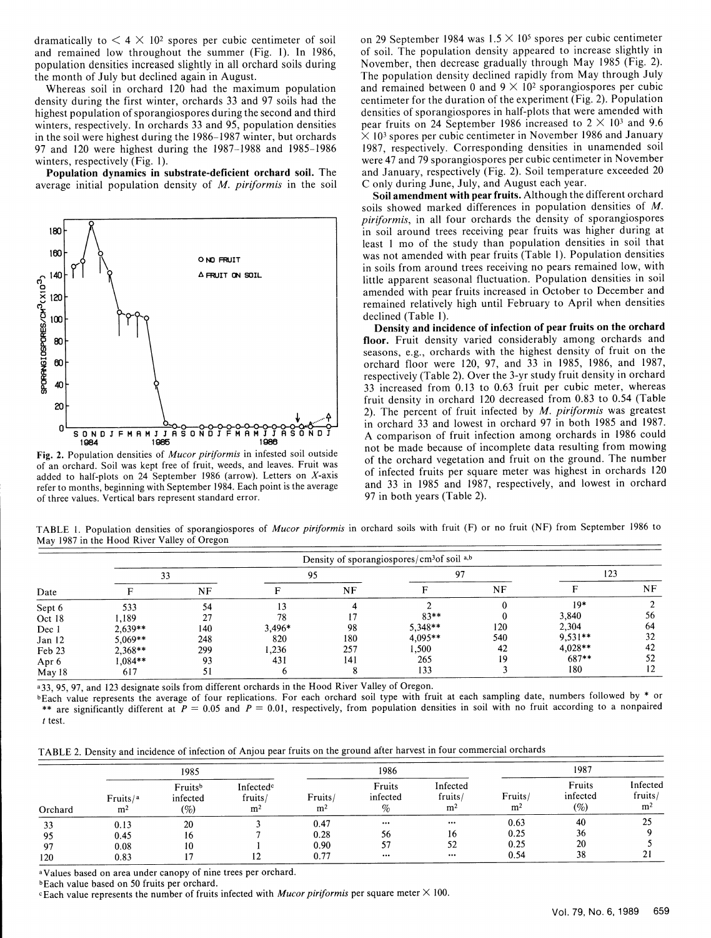Whereas soil in orchard  $120$  had the maximum population density during the first winter, orchards 33 and 97 soils had the density during the first winter, orchards 33 and 97 soils had the centimeter for the duration of the experiment (Fig. 2). Population bighest population of sporangiospores during the second and third densities of sporangios highest population of sporangiospores during the second and third densities of sporangiospores in half-plots that were amended with winters, respectively. In orchards 33 and 95, population densities pear fruits on 24 Sept in the soil were highest during the 1986–1987 winter, but orchards  $\times 10<sup>3</sup>$  spores per cubic centimeter in November 1986 and January<br>97 and 120 were highest during the 1987–1988 and 1985–1986 1987, respectively. Cor 97 and 120 were highest during the  $1987-1988$  and  $1985-1986$  winters, respectively (Fig. 1).

average initial population density of *M. piriformis* in the soil



Fig. 2. Population densities of *Mucor piriformis* in infested soil outside of an orchard. Soil was kept free of fruit, weeds, and leaves. Fruit was added to half-plots on 24 September 1986 (arrow). Letters on X-axis refer to months, beginning with September 1984. Each point is the average of three values. Vertical bars represent standard error.

dramatically to  $\leq 4 \times 10^2$  spores per cubic centimeter of soil on 29 September 1984 was  $1.5 \times 10^5$  spores per cubic centimeter and remained low throughout the summer (Fig. 1). In 1986, of soil. The population densit and remained low throughout the summer (Fig. 1). In 1986, of soil. The population density appeared to increase slightly in population densities increased slightly in all orchard soils during November, then decrease gradual population densities increased slightly in all orchard soils during November, then decrease gradually through May 1985 (Fig. 2).<br>The population density declined rapidly from May through July The population density declined rapidly from May through July and remained between 0 and  $9 \times 10^2$  sporangiospores per cubic pear fruits on 24 September 1986 increased to  $2 \times 10^3$  and 9.6  $\times 10^3$  spores per cubic centimeter in November 1986 and January inters, respectively (Fig. 1).<br>**Population dynamics in substrate-deficient orchard soil.** The and January, respectively (Fig. 2). Soil temperature exceeded 20 and January, respectively (Fig. 2). Soil temperature exceeded 20 C only during June, July, and August each year.

Soil amendment with pear fruits. Although the different orchard soils showed marked differences in population densities of *M. piriformis,* in all four orchards the density of sporangiospores 180 | **A ight** in soil around trees receiving pear fruits was higher during at least 1 mo of the study than population densities in soil that was not amended with pear fruits (Table 1). Population densities 160 or **FRUIT**<br>
160 on **FRUIT ON CITY AFRUIT ON SOIL**<br>
160 or **PRUIT EXECUTE:** *PRUIT ON SOIL***<br>
160 or <b>in soils from around trees receiving no pears remained low, with<br>
160 or <b>in soils from around trees receiving n** little apparent seasonal fluctuation. Population densities in soil remained relatively high until February to April when densities

j Density and incidence of infection of pear fruits on the **orchard 80 floor.** Fruit density varied considerably among orchards and **0** seasons, e.g., orchards with the highest density of fruit on the orchard floor were 120, 97, and 33 in 1985, 1986, and 1987, 4respectively (Table 2). Over the 3-yr study fruit density in orch  $33$  increased from 0.13 to 0.63 fruit per cubic meter, whereas fruit density in orchard 120 decreased from 0.83 to 0.54 (Table 2). The percent of fruit infected by *M. piriformis* was greatest **0**<br> **EXECUTERT AND IF MANUS AND IF MANUS AND A SOND A** comparison of fruit infection among orchards in 1986 could<br>
1986 and 1986 could **J <b>J A** comparison of fruit infection among orchards in 1986 could 1986 not be made because of incomplete data resulting from mowing of the orchard vegetation and fruit on the ground. The number of infected fruits per square meter was highest in orchards 120 and 33 in 1985 and 1987, respectively, and lowest in orchard 97 in both years (Table 2).

TABLE 1. Population densities of sporangiospores of *Mucor piriformis* in orchard soils with fruit (F) or no fruit (NF) from September 1986 to May 1987 in the Hood River Valley of Oregon

| Date             | Density of sporangiospores/cm <sup>3</sup> of soil <sup>a,b</sup> |     |        |     |           |     |           |     |  |  |
|------------------|-------------------------------------------------------------------|-----|--------|-----|-----------|-----|-----------|-----|--|--|
|                  | 33                                                                |     | 95     |     | 97        |     | 123       |     |  |  |
|                  |                                                                   | NF  |        | NF  |           | NF  |           | NF. |  |  |
| Sept 6           | 533                                                               | 54  |        |     |           |     | $19*$     |     |  |  |
| Oct 18           | .189                                                              | 27  | 78     |     | $83**$    |     | 3,840     | 56  |  |  |
| Dec 1            | $2.639**$                                                         | 140 | 3,496* | 98  | $5.348**$ | 120 | 2,304     | 64  |  |  |
| Jan 12           | 5,069**                                                           | 248 | 820    | 180 | $4,095**$ | 540 | $9.531**$ | 32  |  |  |
| Feb 23           | 2,368**                                                           | 299 | 236. ا | 257 | 1,500     | 42  | $4,028**$ | 42  |  |  |
| Apr <sub>6</sub> | $1,084**$                                                         | 93  | 431    | 141 | 265       | 19  | 687**     | 52  |  |  |
| May 18           | 617                                                               | 51  |        |     | 133       |     | 180       | 12  |  |  |

**a33,** *95,* 97, and 123 designate soils from different orchards in the Hood River Valley of Oregon.

bEach value represents the average of four replications. For each orchard soil type with fruit at each sampling date, numbers followed by **\*** or \*\* are significantly different at  $P = 0.05$  and  $P = 0.01$ , respectively, from population densities in soil with no fruit according to a nonpaired  $t$  test.

TABLE 2. Density and incidence of infection of Anjou pear fruits on the ground after harvest in four commercial orchards

|         | 1985                                   |                               |                                                    | 1986                      |                            |                                       | 1987                      |                           |                                       |
|---------|----------------------------------------|-------------------------------|----------------------------------------------------|---------------------------|----------------------------|---------------------------------------|---------------------------|---------------------------|---------------------------------------|
| Orchard | Fruits/ <sup>a</sup><br>m <sup>2</sup> | Fruitsb<br>infected<br>$(\%)$ | Infected <sup>c</sup><br>fruits/<br>m <sup>2</sup> | Fruits/<br>m <sup>2</sup> | Fruits<br>infected<br>$\%$ | Infected<br>fruits/<br>m <sup>2</sup> | Fruits/<br>m <sup>2</sup> | Fruits<br>infected<br>(%) | Infected<br>fruits/<br>m <sup>2</sup> |
| 33      | 0.13                                   | 20                            |                                                    | 0.47                      | $\cdots$                   | $\cdots$                              | 0.63                      | 40                        | ኅሩ                                    |
| 95      | 0.45                                   | 16                            |                                                    | 0.28                      | 56                         | 16                                    | 0.25                      | 36                        |                                       |
| 97      | 0.08                                   | 10                            |                                                    | 0.90                      | 57                         | 52                                    | 0.25                      | 20                        |                                       |
| 120     | 0.83                                   |                               | 12                                                 | 0.77                      | $\cdots$                   | $\cdots$                              | 0.54                      | 38                        |                                       |

**a** Values based on area under canopy of nine trees per orchard.

bEach value based on 50 fruits per orchard.

cEach value represents the number of fruits infected with *Mucor piriformnis* per square meter X 100.